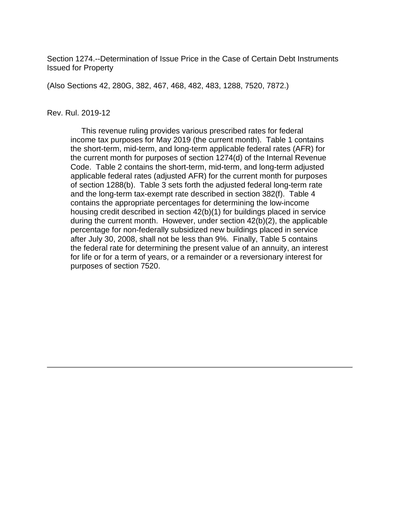Section 1274.--Determination of Issue Price in the Case of Certain Debt Instruments Issued for Property

(Also Sections 42, 280G, 382, 467, 468, 482, 483, 1288, 7520, 7872.)

#### Rev. Rul. 2019-12

 This revenue ruling provides various prescribed rates for federal income tax purposes for May 2019 (the current month). Table 1 contains the short-term, mid-term, and long-term applicable federal rates (AFR) for the current month for purposes of section 1274(d) of the Internal Revenue Code. Table 2 contains the short-term, mid-term, and long-term adjusted applicable federal rates (adjusted AFR) for the current month for purposes of section 1288(b). Table 3 sets forth the adjusted federal long-term rate and the long-term tax-exempt rate described in section 382(f). Table 4 contains the appropriate percentages for determining the low-income housing credit described in section 42(b)(1) for buildings placed in service during the current month. However, under section 42(b)(2), the applicable percentage for non-federally subsidized new buildings placed in service after July 30, 2008, shall not be less than 9%. Finally, Table 5 contains the federal rate for determining the present value of an annuity, an interest for life or for a term of years, or a remainder or a reversionary interest for purposes of section 7520.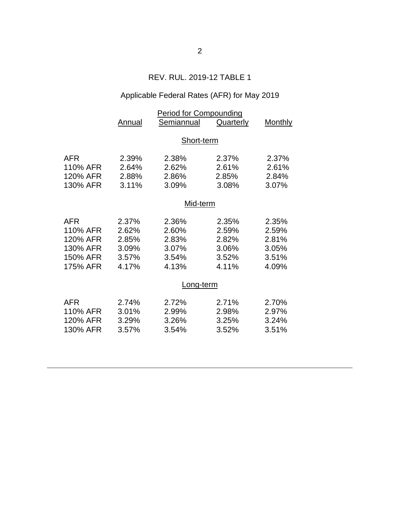### REV. RUL. 2019-12 TABLE 1

# Applicable Federal Rates (AFR) for May 2019

|            | <b>Period for Compounding</b> |                   |                  |                |  |  |
|------------|-------------------------------|-------------------|------------------|----------------|--|--|
|            | Annual                        | <b>Semiannual</b> | <b>Quarterly</b> | <b>Monthly</b> |  |  |
|            |                               |                   |                  |                |  |  |
|            | Short-term                    |                   |                  |                |  |  |
| <b>AFR</b> | 2.39%                         | 2.38%             | 2.37%            | 2.37%          |  |  |
| 110% AFR   | 2.64%                         | 2.62%             | 2.61%            | 2.61%          |  |  |
| 120% AFR   | 2.88%                         | 2.86%             | 2.85%            | 2.84%          |  |  |
| 130% AFR   | 3.11%                         | 3.09%             | 3.08%            | 3.07%          |  |  |
|            |                               |                   |                  |                |  |  |
|            |                               | Mid-term          |                  |                |  |  |
| AFR        | 2.37%                         | 2.36%             | 2.35%            | 2.35%          |  |  |
| 110% AFR   | 2.62%                         | 2.60%             | 2.59%            | 2.59%          |  |  |
| 120% AFR   | 2.85%                         | 2.83%             | 2.82%            | 2.81%          |  |  |
| 130% AFR   | 3.09%                         | 3.07%             | 3.06%            | 3.05%          |  |  |
| 150% AFR   | 3.57%                         | 3.54%             | 3.52%            | 3.51%          |  |  |
| 175% AFR   | 4.17%                         | 4.13%             | 4.11%            | 4.09%          |  |  |
|            | Long-term                     |                   |                  |                |  |  |
|            |                               |                   |                  |                |  |  |
| AFR        | 2.74%                         | 2.72%             | 2.71%            | 2.70%          |  |  |
| 110% AFR   | 3.01%                         | 2.99%             | 2.98%            | 2.97%          |  |  |
| 120% AFR   | 3.29%                         | 3.26%             | 3.25%            | 3.24%          |  |  |
| 130% AFR   | 3.57%                         | 3.54%             | 3.52%            | 3.51%          |  |  |
|            |                               |                   |                  |                |  |  |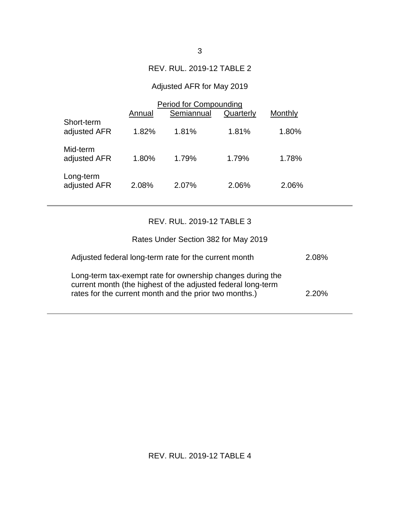#### REV. RUL. 2019-12 TABLE 2

## Adjusted AFR for May 2019

|                            | Period for Compounding |            |           |         |  |
|----------------------------|------------------------|------------|-----------|---------|--|
|                            | Annual                 | Semiannual | Quarterly | Monthly |  |
| Short-term<br>adjusted AFR | 1.82%                  | 1.81%      | 1.81%     | 1.80%   |  |
| Mid-term<br>adjusted AFR   | 1.80%                  | 1.79%      | 1.79%     | 1.78%   |  |
| Long-term<br>adjusted AFR  | 2.08%                  | 2.07%      | 2.06%     | 2.06%   |  |

### REV. RUL. 2019-12 TABLE 3

| Rates Under Section 382 for May 2019                                                                                                                                                 |       |
|--------------------------------------------------------------------------------------------------------------------------------------------------------------------------------------|-------|
| Adjusted federal long-term rate for the current month                                                                                                                                | 2.08% |
| Long-term tax-exempt rate for ownership changes during the<br>current month (the highest of the adjusted federal long-term<br>rates for the current month and the prior two months.) | 2.20% |